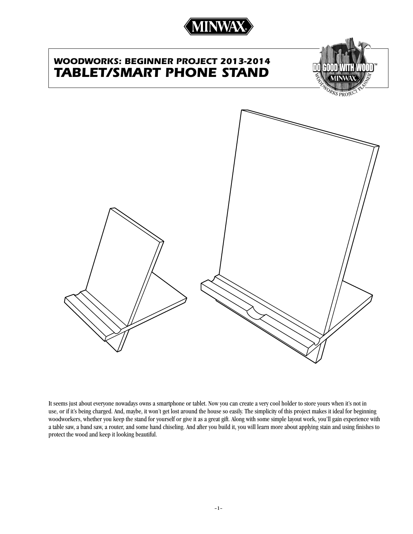

# *WOODWORKS: beginner project 2013-2014 Tablet/Smart Phone Stand*



It seems just about everyone nowadays owns a smartphone or tablet. Now you can create a very cool holder to store yours when it's not in use, or if it's being charged. And, maybe, it won't get lost around the house so easily. The simplicity of this project makes it ideal for beginning woodworkers, whether you keep the stand for yourself or give it as a great gift. Along with some simple layout work, you'll gain experience with a table saw, a band saw, a router, and some hand chiseling. And after you build it, you will learn more about applying stain and using finishes to protect the wood and keep it looking beautiful.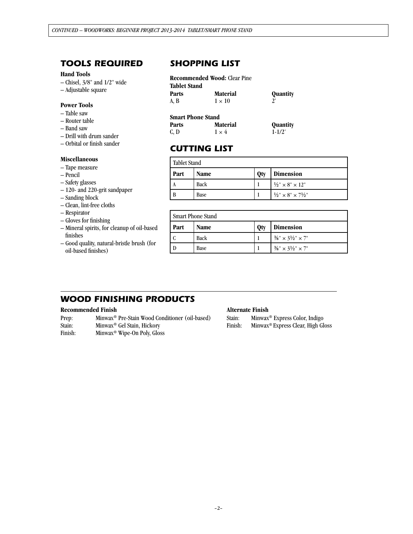### *tools required*

### **Hand Tools**

- Chisel, 3/8" and 1/2" wide
- Adjustable square

### **Power Tools**

- Table saw
- Router table
- Band saw
- Drill with drum sander
- Orbital or finish sander

### **Miscellaneous**

- Tape measure
- Pencil
- Safety glasses
- 120- and 220-grit sandpaper
- Sanding block
- Clean, lint-free cloths
- Respirator
- Gloves for finishing
- Mineral spirits, for cleanup of oil-based finishes
- Good quality, natural-bristle brush (for oil-based finishes)

### *SHOPPING LIST*

| <b>Tablet Stand</b> |                 |          |
|---------------------|-----------------|----------|
| Parts               | <b>Material</b> | Quantity |
| A, B                | $1 \times 10$   | 2'       |

| <b>Smart Phone Stand</b> |                 |                 |  |
|--------------------------|-----------------|-----------------|--|
| <b>Parts</b>             | <b>Material</b> | <b>Quantity</b> |  |
| C, D                     | $1 \times 4$    | $1 - 1/2$       |  |

### *cutting list*

| <b>Tablet Stand</b> |             |     |                                          |
|---------------------|-------------|-----|------------------------------------------|
| Part                | <b>Name</b> | Qty | <b>Dimension</b>                         |
| A                   | Back        |     | $\frac{1}{2}$ " × 8" × 12"               |
| B                   | Base        |     | $\frac{1}{2}$ " × 8" × 7 $\frac{1}{2}$ " |

| <b>Smart Phone Stand</b> |             |     |                                          |
|--------------------------|-------------|-----|------------------------------------------|
| Part                     | Name        | Qty | <b>Dimension</b>                         |
|                          | <b>Back</b> |     | $\frac{3}{8}$ " × 3 $\frac{1}{2}$ " × 7" |
|                          | Base        |     | $\frac{3}{8}$ " × 3 $\frac{1}{2}$ " × 7" |

### *WOOD FINISHING PRODUCTS*

#### **Recommended Finish**

| Prep:   | Minwax <sup>®</sup> Pre-Stain Wood Conditioner (oil-based) |
|---------|------------------------------------------------------------|
| Stain:  | Minwax <sup>®</sup> Gel Stain, Hickory                     |
| Finish: | Minwax <sup>®</sup> Wipe-On Poly, Gloss                    |

#### **Alternate Finish**

Stain: Minwax® Express Color, Indigo

Finish: Minwax® Express Clear, High Gloss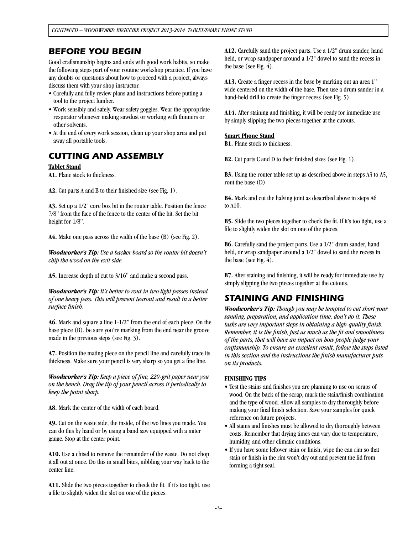### *BEFORE YOU BEGIN*

Good craftsmanship begins and ends with good work habits, so make the following steps part of your routine workshop practice. If you have any doubts or questions about how to proceed with a project, always discuss them with your shop instructor.

- Carefully and fully review plans and instructions before putting a tool to the project lumber.
- Work sensibly and safely. Wear safety goggles. Wear the appropriate respirator whenever making sawdust or working with thinners or other solvents.
- At the end of every work session, clean up your shop area and put away all portable tools.

### *CUTTING AND ASSEMBLY*

### **Tablet Stand**

**A1.** Plane stock to thickness.

**A2.** Cut parts A and B to their finished size (see Fig. 1).

**A3.** Set up a 1/2" core box bit in the router table. Position the fence 7/8" from the face of the fence to the center of the bit. Set the bit height for 1/8".

**A4.** Make one pass across the width of the base (B) (see Fig. 2).

*Woodworker's Tip: Use a backer board so the router bit doesn't chip the wood on the exit side.*

**A5.** Increase depth of cut to 3/16" and make a second pass.

*Woodworker's Tip: It's better to rout in two light passes instead of one heavy pass. This will prevent tearout and result in a better surface finish.*

**A6.** Mark and square a line 1-1/2" from the end of each piece. On the base piece (B), be sure you're marking from the end near the groove made in the previous steps (see Fig. 3).

**A7.** Position the mating piece on the pencil line and carefully trace its thickness. Make sure your pencil is very sharp so you get a fine line.

*Woodworker's Tip: Keep a piece of fine, 220-grit paper near you on the bench. Drag the tip of your pencil across it periodically to keep the point sharp.* 

**A8.** Mark the center of the width of each board.

**A9.** Cut on the waste side, the inside, of the two lines you made. You can do this by hand or by using a band saw equipped with a miter gauge. Stop at the center point.

**A10.** Use a chisel to remove the remainder of the waste. Do not chop it all out at once. Do this in small bites, nibbling your way back to the center line.

**A11.** Slide the two pieces together to check the fit. If it's too tight, use a file to slightly widen the slot on one of the pieces.

**A12.** Carefully sand the project parts. Use a 1/2" drum sander, hand held, or wrap sandpaper around a  $1/2$ " dowel to sand the recess in the base (see Fig. 4).

**A13.** Create a finger recess in the base by marking out an area 1" wide centered on the width of the base. Then use a drum sander in a hand-held drill to create the finger recess (see Fig. 5).

**A14.** After staining and finishing, it will be ready for immediate use by simply slipping the two pieces together at the cutouts.

### **Smart Phone Stand**

**B1.** Plane stock to thickness.

**B2.** Cut parts C and D to their finished sizes (see Fig. 1).

**B3.** Using the router table set up as described above in steps A3 to A5, rout the base (D).

**B4.** Mark and cut the halving joint as described above in steps A6 to A10.

**B5.** Slide the two pieces together to check the fit. If it's too tight, use a file to slightly widen the slot on one of the pieces.

**B6.** Carefully sand the project parts. Use a 1/2" drum sander, hand held, or wrap sandpaper around a 1/2" dowel to sand the recess in the base (see Fig. 4).

**B7.** After staining and finishing, it will be ready for immediate use by simply slipping the two pieces together at the cutouts.

### *STAINING AND FINISHING*

*Woodworker's Tip: Though you may be tempted to cut short your sanding, preparation, and application time, don't do it. These tasks are very important steps in obtaining a high-quality finish. Remember, it is the finish, just as much as the fit and smoothness of the parts, that will have an impact on how people judge your craftsmanship. To ensure an excellent result, follow the steps listed in this section and the instructions the finish manufacturer puts on its products.*

### **FINISHING TIPS**

- Test the stains and finishes you are planning to use on scraps of wood. On the back of the scrap, mark the stain/finish combination and the type of wood. Allow all samples to dry thoroughly before making your final finish selection. Save your samples for quick reference on future projects.
- All stains and finishes must be allowed to dry thoroughly between coats. Remember that drying times can vary due to temperature, humidity, and other climatic conditions.
- If you have some leftover stain or finish, wipe the can rim so that stain or finish in the rim won't dry out and prevent the lid from forming a tight seal.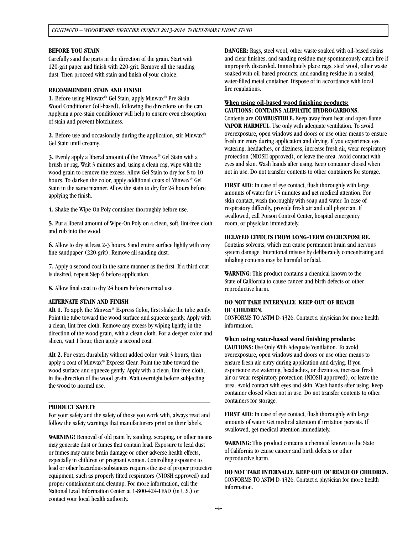### **BEFORE YOU STAIN**

Carefully sand the parts in the direction of the grain. Start with 120-grit paper and finish with 220-grit. Remove all the sanding dust. Then proceed with stain and finish of your choice.

### **RECOMMENDED STAIN AND FINISH**

**1.** Before using Minwax® Gel Stain, apply Minwax® Pre-Stain Wood Conditioner (oil-based), following the directions on the can. Applying a pre-stain conditioner will help to ensure even absorption of stain and prevent blotchiness.

**2.** Before use and occasionally during the application, stir Minwax® Gel Stain until creamy.

**3.** Evenly apply a liberal amount of the Minwax® Gel Stain with a brush or rag. Wait 3 minutes and, using a clean rag, wipe with the wood grain to remove the excess. Allow Gel Stain to dry for 8 to 10 hours. To darken the color, apply additional coats of Minwax® Gel Stain in the same manner. Allow the stain to dry for 24 hours before applying the finish.

**4.** Shake the Wipe-On Poly container thoroughly before use.

**5.** Put a liberal amount of Wipe-On Poly on a clean, soft, lint-free cloth and rub into the wood.

**6.** Allow to dry at least 2-3 hours. Sand entire surface lightly with very fine sandpaper (220-grit). Remove all sanding dust.

**7.** Apply a second coat in the same manner as the first. If a third coat is desired, repeat Step 6 before application.

**8.** Allow final coat to dry 24 hours before normal use.

### **ALTERNATE STAIN AND FINISH**

Alt 1. To apply the Minwax<sup>®</sup> Express Color, first shake the tube gently. Point the tube toward the wood surface and squeeze gently. Apply with a clean, lint-free cloth. Remove any excess by wiping lightly, in the direction of the wood grain, with a clean cloth. For a deeper color and sheen, wait 1 hour, then apply a second coat.

**Alt 2.** For extra durability without added color, wait 3 hours, then apply a coat of Minwax® Express Clear. Point the tube toward the wood surface and squeeze gently. Apply with a clean, lint-free cloth, in the direction of the wood grain. Wait overnight before subjecting the wood to normal use.

#### **PRODUCT SAFETY**

For your safety and the safety of those you work with, always read and follow the safety warnings that manufacturers print on their labels.

**\_\_\_\_\_\_\_\_\_\_\_\_\_\_\_\_\_\_\_\_\_\_\_\_\_\_\_\_\_\_\_\_\_\_\_\_\_\_\_\_\_\_\_\_\_\_\_\_**

**WARNING!** Removal of old paint by sanding, scraping, or other means may generate dust or fumes that contain lead. Exposure to lead dust or fumes may cause brain damage or other adverse health effects, especially in children or pregnant women. Controlling exposure to lead or other hazardous substances requires the use of proper protective equipment, such as properly fitted respirators (NIOSH approved) and proper containment and cleanup. For more information, call the National Lead Information Center at 1-800-424-LEAD (in U.S.) or contact your local health authority.

**DANGER:** Rags, steel wool, other waste soaked with oil-based stains and clear finishes, and sanding residue may spontaneously catch fire if improperly discarded. Immediately place rags, steel wool, other waste soaked with oil-based products, and sanding residue in a sealed, water-filled metal container. Dispose of in accordance with local fire regulations.

### **When using oil-based wood finishing products: CAUTIONS: CONTAINS ALIPHATIC HYDROCARBONS.**

Contents are **COMBUSTIBLE.** Keep away from heat and open flame. **VAPOR HARMFUL**. Use only with adequate ventilation. To avoid overexposure, open windows and doors or use other means to ensure fresh air entry during application and drying. If you experience eye watering, headaches, or dizziness, increase fresh air, wear respiratory protection (NIOSH approved), or leave the area. Avoid contact with eyes and skin. Wash hands after using. Keep container closed when not in use. Do not transfer contents to other containers for storage.

**FIRST AID:** In case of eye contact, flush thoroughly with large amounts of water for 15 minutes and get medical attention. For skin contact, wash thoroughly with soap and water. In case of respiratory difficulty, provide fresh air and call physician. If swallowed, call Poison Control Center, hospital emergency room, or physician immediately.

#### **DELAYED EFFECTS FROM LONG-TERM OVEREXPOSURE.**

Contains solvents, which can cause permanent brain and nervous system damage. Intentional misuse by deliberately concentrating and inhaling contents may be harmful or fatal.

**WARNING:** This product contains a chemical known to the State of California to cause cancer and birth defects or other reproductive harm.

#### **DO NOT TAKE INTERNALLY. KEEP OUT OF REACH OF CHILDREN.**

CONFORMS TO ASTM D-4326. Contact a physician for more health information.

#### **When using water-based wood finishing products:**

**CAUTIONS:** Use Only With Adequate Ventilation. To avoid overexposure, open windows and doors or use other means to ensure fresh air entry during application and drying. If you experience eye watering, headaches, or dizziness, increase fresh air or wear respiratory protection (NIOSH approved), or leave the area. Avoid contact with eyes and skin. Wash hands after using. Keep container closed when not in use. Do not transfer contents to other containers for storage.

**FIRST AID:** In case of eye contact, flush thoroughly with large amounts of water. Get medical attention if irritation persists. If swallowed, get medical attention immediately.

**WARNING:** This product contains a chemical known to the State of California to cause cancer and birth defects or other reproductive harm.

### **DO NOT TAKE INTERNALLY. KEEP OUT OF REACH OF CHILDREN.**

CONFORMS TO ASTM D-4326. Contact a physician for more health information.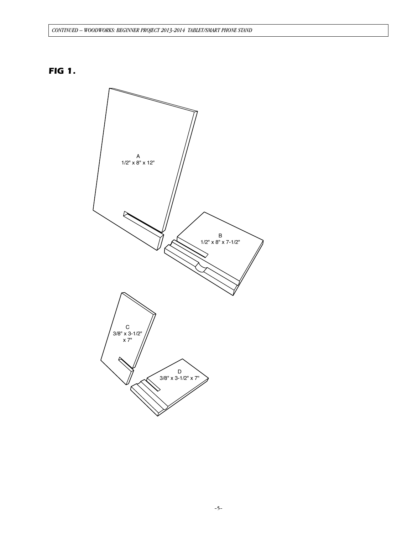## *FIG 1.*

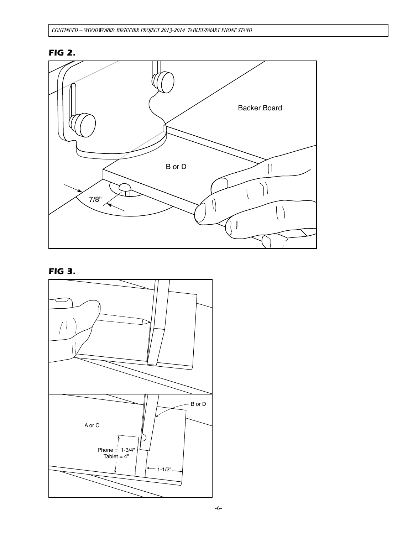